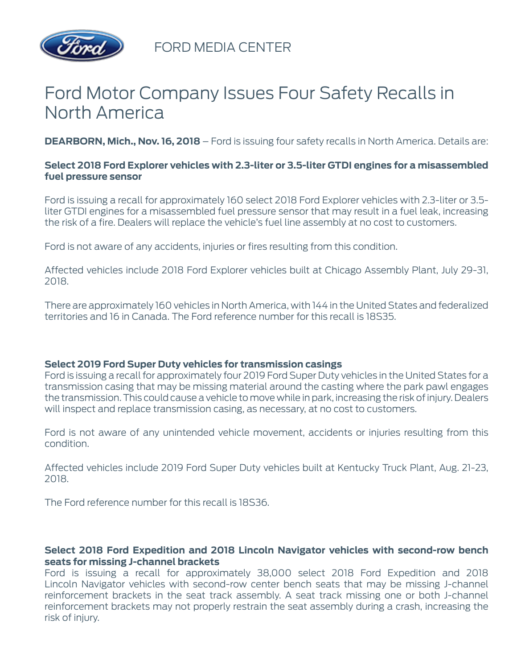

FORD MEDIA CENTER

# Ford Motor Company Issues Four Safety Recalls in North America

**DEARBORN, Mich., Nov. 16, 2018** – Ford is issuing four safety recalls in North America. Details are:

## **Select 2018 Ford Explorer vehicles with 2.3-liter or 3.5-liter GTDI engines for a misassembled fuel pressure sensor**

Ford is issuing a recall for approximately 160 select 2018 Ford Explorer vehicles with 2.3-liter or 3.5 liter GTDI engines for a misassembled fuel pressure sensor that may result in a fuel leak, increasing the risk of a fire. Dealers will replace the vehicle's fuel line assembly at no cost to customers.

Ford is not aware of any accidents, injuries or fires resulting from this condition.

Affected vehicles include 2018 Ford Explorer vehicles built at Chicago Assembly Plant, July 29-31, 2018.

There are approximately 160 vehicles in North America, with 144 in the United States and federalized territories and 16 in Canada. The Ford reference number for this recall is 18S35.

### **Select 2019 Ford Super Duty vehicles for transmission casings**

Ford is issuing a recall for approximately four 2019 Ford Super Duty vehicles in the United States for a transmission casing that may be missing material around the casting where the park pawl engages the transmission. This could cause a vehicle to move while in park, increasing the risk of injury. Dealers will inspect and replace transmission casing, as necessary, at no cost to customers.

Ford is not aware of any unintended vehicle movement, accidents or injuries resulting from this condition.

Affected vehicles include 2019 Ford Super Duty vehicles built at Kentucky Truck Plant, Aug. 21-23, 2018.

The Ford reference number for this recall is 18S36.

### **Select 2018 Ford Expedition and 2018 Lincoln Navigator vehicles with second-row bench seats for missing J-channel brackets**

Ford is issuing a recall for approximately 38,000 select 2018 Ford Expedition and 2018 Lincoln Navigator vehicles with second-row center bench seats that may be missing J-channel reinforcement brackets in the seat track assembly. A seat track missing one or both J-channel reinforcement brackets may not properly restrain the seat assembly during a crash, increasing the risk of injury.